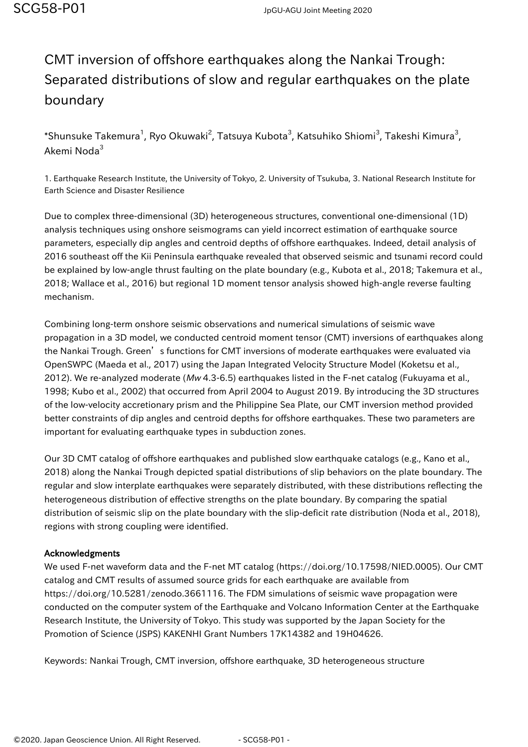## CMT inversion of offshore earthquakes along the Nankai Trough: Separated distributions of slow and regular earthquakes on the plate boundary

 $\,$ \*Shunsuke Takemura $^1$ , Ryo Okuwaki $^2$ , Tatsuya Kubota $^3$ , Katsuhiko Shiomi $^3$ , Takeshi Kimura $^3$ , Akemi Noda<sup>3</sup>

1. Earthquake Research Institute, the University of Tokyo, 2. University of Tsukuba, 3. National Research Institute for Earth Science and Disaster Resilience

Due to complex three-dimensional (3D) heterogeneous structures, conventional one-dimensional (1D) analysis techniques using onshore seismograms can yield incorrect estimation of earthquake source parameters, especially dip angles and centroid depths of offshore earthquakes. Indeed, detail analysis of 2016 southeast off the Kii Peninsula earthquake revealed that observed seismic and tsunami record could be explained by low-angle thrust faulting on the plate boundary (e.g., Kubota et al., 2018; Takemura et al., 2018; Wallace et al., 2016) but regional 1D moment tensor analysis showed high-angle reverse faulting mechanism.

Combining long-term onshore seismic observations and numerical simulations of seismic wave propagation in a 3D model, we conducted centroid moment tensor (CMT) inversions of earthquakes along the Nankai Trough. Green's functions for CMT inversions of moderate earthquakes were evaluated via OpenSWPC (Maeda et al., 2017) using the Japan Integrated Velocity Structure Model (Koketsu et al., 2012). We re-analyzed moderate (Mw 4.3-6.5) earthquakes listed in the F-net catalog (Fukuyama et al., 1998; Kubo et al., 2002) that occurred from April 2004 to August 2019. By introducing the 3D structures of the low-velocity accretionary prism and the Philippine Sea Plate, our CMT inversion method provided better constraints of dip angles and centroid depths for offshore earthquakes. These two parameters are important for evaluating earthquake types in subduction zones.

Our 3D CMT catalog of offshore earthquakes and published slow earthquake catalogs (e.g., Kano et al., 2018) along the Nankai Trough depicted spatial distributions of slip behaviors on the plate boundary. The regular and slow interplate earthquakes were separately distributed, with these distributions reflecting the heterogeneous distribution of effective strengths on the plate boundary. By comparing the spatial distribution of seismic slip on the plate boundary with the slip-deficit rate distribution (Noda et al., 2018), regions with strong coupling were identified.

## Acknowledgments

We used F-net waveform data and the F-net MT catalog (https://doi.org/10.17598/NIED.0005). Our CMT catalog and CMT results of assumed source grids for each earthquake are available from https://doi.org/10.5281/zenodo.3661116. The FDM simulations of seismic wave propagation were conducted on the computer system of the Earthquake and Volcano Information Center at the Earthquake Research Institute, the University of Tokyo. This study was supported by the Japan Society for the Promotion of Science (JSPS) KAKENHI Grant Numbers 17K14382 and 19H04626.

Keywords: Nankai Trough, CMT inversion, offshore earthquake, 3D heterogeneous structure